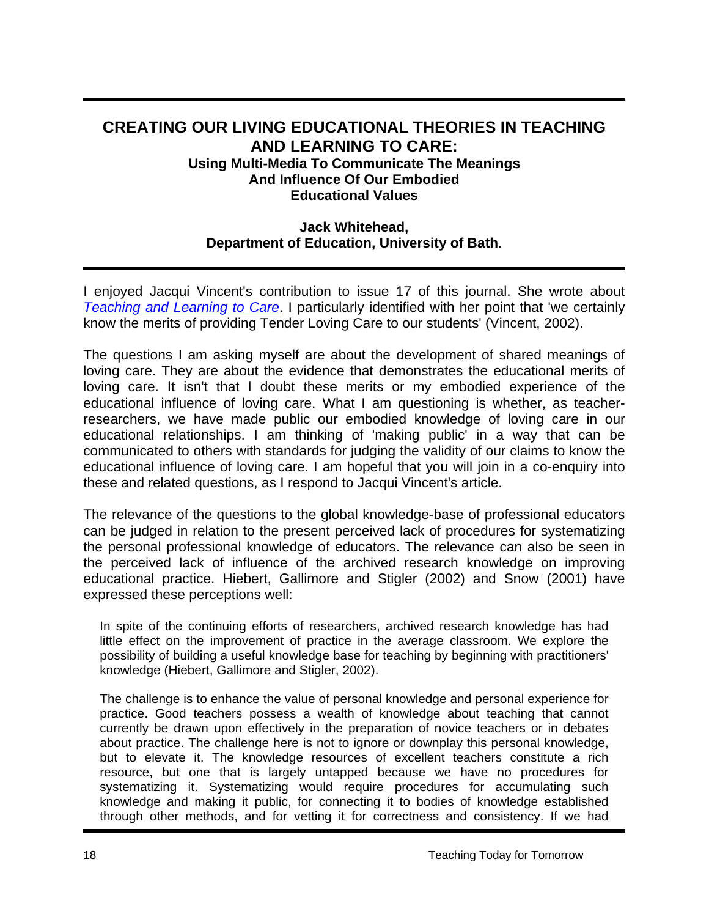# **CREATING OUR LIVING EDUCATIONAL THEORIES IN TEACHING AND LEARNING TO CARE: Using Multi-Media To Communicate The Meanings And Influence Of Our Embodied Educational Values**

### **Jack Whitehead, Department of Education, University of Bath**.

I enjoyed Jacqui Vincent's contribution to issue 17 of this journal. She wrote about *Teaching and Learning to Care*. I particularly identified with her point that 'we certainly know the merits of providing Tender Loving Care to our students' (Vincent, 2002).

The questions I am asking myself are about the development of shared meanings of loving care. They are about the evidence that demonstrates the educational merits of loving care. It isn't that I doubt these merits or my embodied experience of the educational influence of loving care. What I am questioning is whether, as teacherresearchers, we have made public our embodied knowledge of loving care in our educational relationships. I am thinking of 'making public' in a way that can be communicated to others with standards for judging the validity of our claims to know the educational influence of loving care. I am hopeful that you will join in a co-enquiry into these and related questions, as I respond to Jacqui Vincent's article.

The relevance of the questions to the global knowledge-base of professional educators can be judged in relation to the present perceived lack of procedures for systematizing the personal professional knowledge of educators. The relevance can also be seen in the perceived lack of influence of the archived research knowledge on improving educational practice. Hiebert, Gallimore and Stigler (2002) and Snow (2001) have expressed these perceptions well:

In spite of the continuing efforts of researchers, archived research knowledge has had little effect on the improvement of practice in the average classroom. We explore the possibility of building a useful knowledge base for teaching by beginning with practitioners' knowledge (Hiebert, Gallimore and Stigler, 2002).

The challenge is to enhance the value of personal knowledge and personal experience for practice. Good teachers possess a wealth of knowledge about teaching that cannot currently be drawn upon effectively in the preparation of novice teachers or in debates about practice. The challenge here is not to ignore or downplay this personal knowledge, but to elevate it. The knowledge resources of excellent teachers constitute a rich resource, but one that is largely untapped because we have no procedures for systematizing it. Systematizing would require procedures for accumulating such knowledge and making it public, for connecting it to bodies of knowledge established through other methods, and for vetting it for correctness and consistency. If we had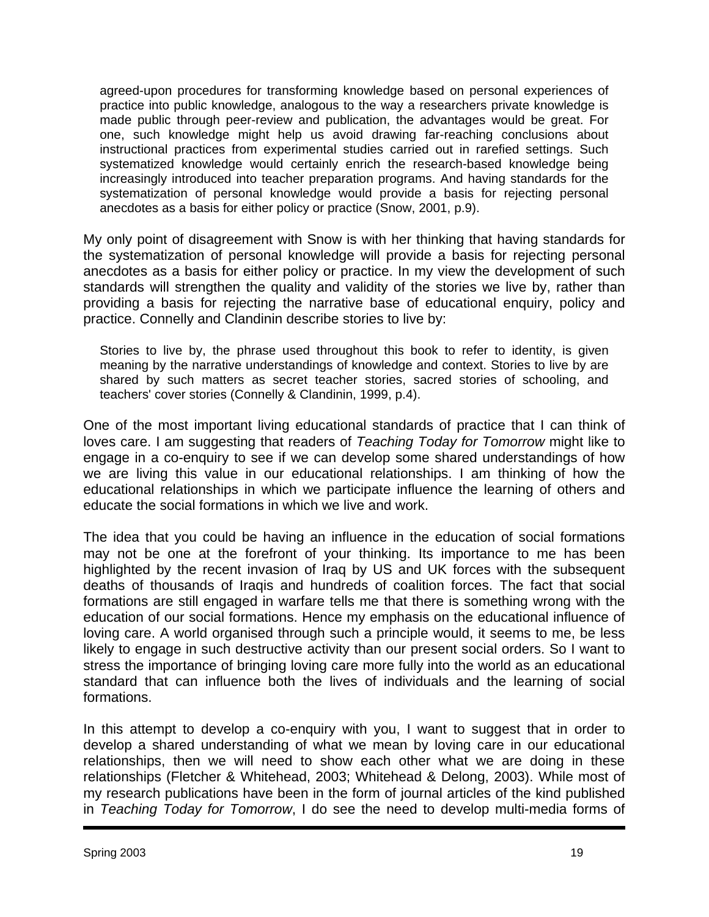agreed-upon procedures for transforming knowledge based on personal experiences of practice into public knowledge, analogous to the way a researchers private knowledge is made public through peer-review and publication, the advantages would be great. For one, such knowledge might help us avoid drawing far-reaching conclusions about instructional practices from experimental studies carried out in rarefied settings. Such systematized knowledge would certainly enrich the research-based knowledge being increasingly introduced into teacher preparation programs. And having standards for the systematization of personal knowledge would provide a basis for rejecting personal anecdotes as a basis for either policy or practice (Snow, 2001, p.9).

My only point of disagreement with Snow is with her thinking that having standards for the systematization of personal knowledge will provide a basis for rejecting personal anecdotes as a basis for either policy or practice. In my view the development of such standards will strengthen the quality and validity of the stories we live by, rather than providing a basis for rejecting the narrative base of educational enquiry, policy and practice. Connelly and Clandinin describe stories to live by:

Stories to live by, the phrase used throughout this book to refer to identity, is given meaning by the narrative understandings of knowledge and context. Stories to live by are shared by such matters as secret teacher stories, sacred stories of schooling, and teachers' cover stories (Connelly & Clandinin, 1999, p.4).

One of the most important living educational standards of practice that I can think of loves care. I am suggesting that readers of *Teaching Today for Tomorrow* might like to engage in a co-enquiry to see if we can develop some shared understandings of how we are living this value in our educational relationships. I am thinking of how the educational relationships in which we participate influence the learning of others and educate the social formations in which we live and work.

The idea that you could be having an influence in the education of social formations may not be one at the forefront of your thinking. Its importance to me has been highlighted by the recent invasion of Iraq by US and UK forces with the subsequent deaths of thousands of Iraqis and hundreds of coalition forces. The fact that social formations are still engaged in warfare tells me that there is something wrong with the education of our social formations. Hence my emphasis on the educational influence of loving care. A world organised through such a principle would, it seems to me, be less likely to engage in such destructive activity than our present social orders. So I want to stress the importance of bringing loving care more fully into the world as an educational standard that can influence both the lives of individuals and the learning of social formations.

In this attempt to develop a co-enquiry with you, I want to suggest that in order to develop a shared understanding of what we mean by loving care in our educational relationships, then we will need to show each other what we are doing in these relationships (Fletcher & Whitehead, 2003; Whitehead & Delong, 2003). While most of my research publications have been in the form of journal articles of the kind published in *Teaching Today for Tomorrow*, I do see the need to develop multi-media forms of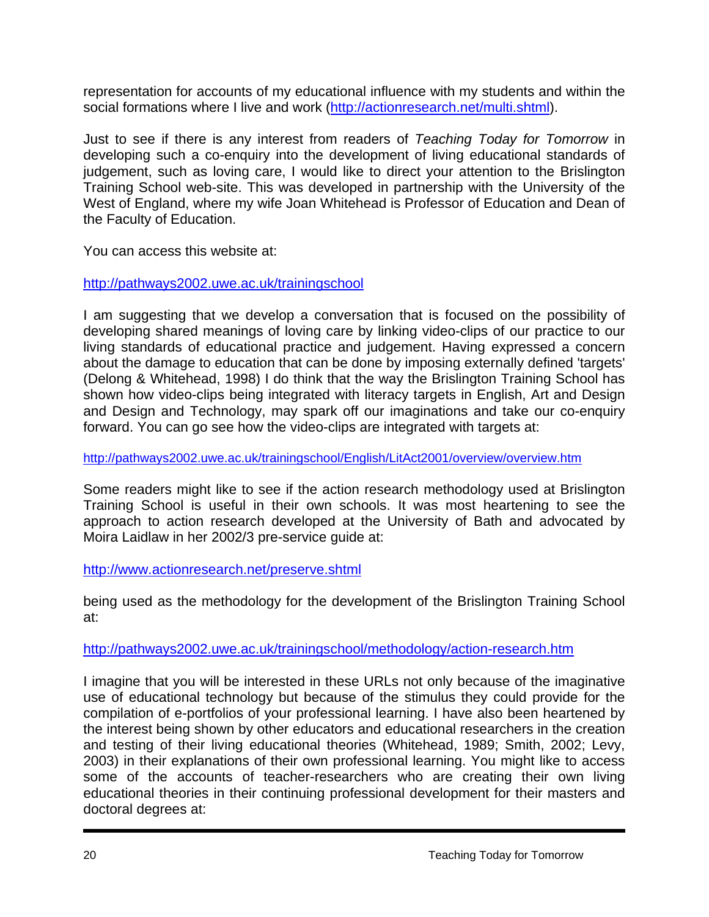representation for accounts of my educational influence with my students and within the social formations where I live and work [\(http://actionresearch.net/multi.shtml\)](http://actionresearch.net/multi.shtml).

Just to see if there is any interest from readers of *Teaching Today for Tomorrow* in developing such a co-enquiry into the development of living educational standards of judgement, such as loving care, I would like to direct your attention to the Brislington Training School web-site. This was developed in partnership with the University of the West of England, where my wife Joan Whitehead is Professor of Education and Dean of the Faculty of Education.

You can access this website at:

### <http://pathways2002.uwe.ac.uk/trainingschool>

I am suggesting that we develop a conversation that is focused on the possibility of developing shared meanings of loving care by linking video-clips of our practice to our living standards of educational practice and judgement. Having expressed a concern about the damage to education that can be done by imposing externally defined 'targets' (Delong & Whitehead, 1998) I do think that the way the Brislington Training School has shown how video-clips being integrated with literacy targets in English, Art and Design and Design and Technology, may spark off our imaginations and take our co-enquiry forward. You can go see how the video-clips are integrated with targets at:

<http://pathways2002.uwe.ac.uk/trainingschool/English/LitAct2001/overview/overview.htm>

Some readers might like to see if the action research methodology used at Brislington Training School is useful in their own schools. It was most heartening to see the approach to action research developed at the University of Bath and advocated by Moira Laidlaw in her 2002/3 pre-service guide at:

## <http://www.actionresearch.net/preserve.shtml>

being used as the methodology for the development of the Brislington Training School at:

## <http://pathways2002.uwe.ac.uk/trainingschool/methodology/action-research.htm>

I imagine that you will be interested in these URLs not only because of the imaginative use of educational technology but because of the stimulus they could provide for the compilation of e-portfolios of your professional learning. I have also been heartened by the interest being shown by other educators and educational researchers in the creation and testing of their living educational theories (Whitehead, 1989; Smith, 2002; Levy, 2003) in their explanations of their own professional learning. You might like to access some of the accounts of teacher-researchers who are creating their own living educational theories in their continuing professional development for their masters and doctoral degrees at: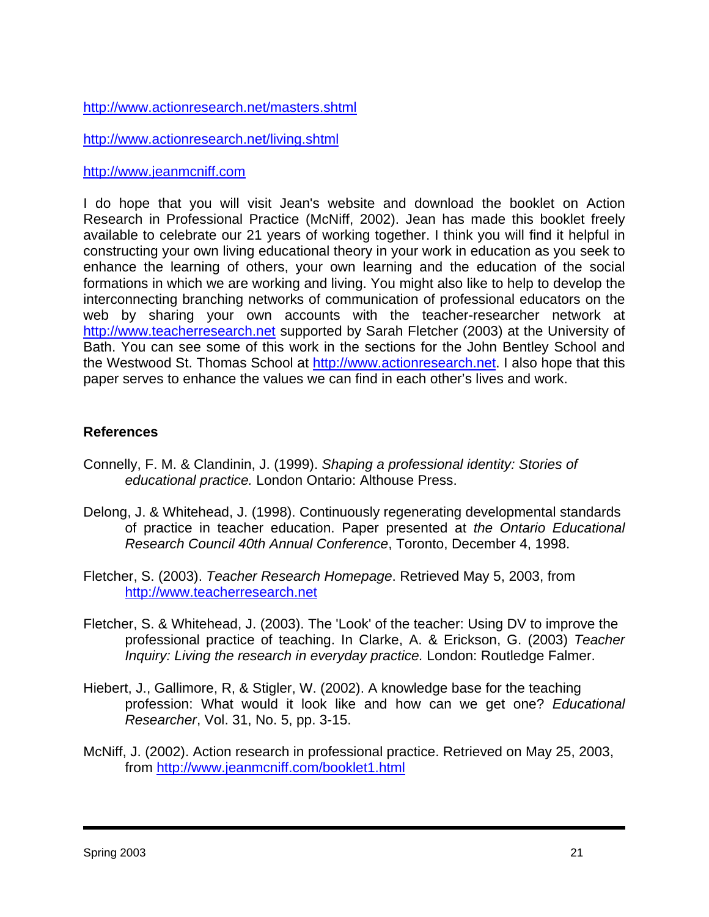#### <http://www.actionresearch.net/masters.shtml>

<http://www.actionresearch.net/living.shtml>

#### [http://www.jeanmcniff.com](http://www.jeanmcniff.com/)

I do hope that you will visit Jean's website and download the booklet on Action Research in Professional Practice (McNiff, 2002). Jean has made this booklet freely available to celebrate our 21 years of working together. I think you will find it helpful in constructing your own living educational theory in your work in education as you seek to enhance the learning of others, your own learning and the education of the social formations in which we are working and living. You might also like to help to develop the interconnecting branching networks of communication of professional educators on the web by sharing your own accounts with the teacher-researcher network at [http://www.teacherresearch.net](http://www.teacherresearch.net/) supported by Sarah Fletcher (2003) at the University of Bath. You can see some of this work in the sections for the John Bentley School and the Westwood St. Thomas School at [http://www.actionresearch.net](http://www.actionresearch.net/). I also hope that this paper serves to enhance the values we can find in each other's lives and work.

#### **References**

- Connelly, F. M. & Clandinin, J. (1999). *Shaping a professional identity: Stories of educational practice.* London Ontario: Althouse Press.
- Delong, J. & Whitehead, J. (1998). Continuously regenerating developmental standards of practice in teacher education. Paper presented at *the Ontario Educational Research Council 40th Annual Conference*, Toronto, December 4, 1998.
- Fletcher, S. (2003). *Teacher Research Homepage*. Retrieved May 5, 2003, from [http://www.teacherresearch.net](http://www.teacherresearch.net/)
- Fletcher, S. & Whitehead, J. (2003). The 'Look' of the teacher: Using DV to improve the professional practice of teaching. In Clarke, A. & Erickson, G. (2003) *Teacher Inquiry: Living the research in everyday practice.* London: Routledge Falmer.
- Hiebert, J., Gallimore, R, & Stigler, W. (2002). A knowledge base for the teaching profession: What would it look like and how can we get one? *Educational Researcher*, Vol. 31, No. 5, pp. 3-15.
- McNiff, J. (2002). Action research in professional practice. Retrieved on May 25, 2003, from<http://www.jeanmcniff.com/booklet1.html>